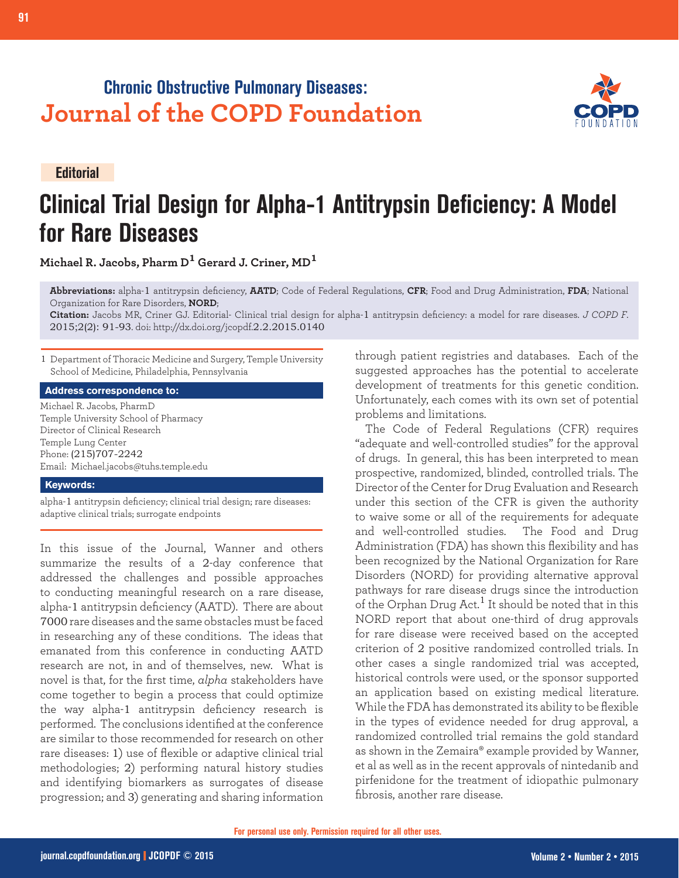## **Chronic Obstructive Pulmonary Diseases: Journal of the COPD Foundation**

**Editorial**

# **Clinical Trial Design for Alpha-1 Antitrypsin Deficiency: A Model for Rare Diseases**

**Michael R. Jacobs, Pharm D1 Gerard J. Criner, MD<sup>1</sup>**

**Abbreviations:** alpha-1 antitrypsin deficiency, **AATD**; Code of Federal Regulations, **CFR**; Food and Drug Administration, **FDA**; National Organization for Rare Disorders, **NORD**;

**Citation:** Jacobs MR, Criner GJ. Editorial- Clinical trial design for alpha-1 antitrypsin deficiency: a model for rare diseases. *J COPD F*. 2015;2(2): 91-93. doi: http://dx.doi.org/jcopdf.2.2.2015.0140

1 Department of Thoracic Medicine and Surgery, Temple University School of Medicine, Philadelphia, Pennsylvania

#### **Address correspondence to:**

Michael R. Jacobs, PharmD Temple University School of Pharmacy Director of Clinical Research Temple Lung Center Phone: (215)707-2242 Email: Michael.jacobs@tuhs.temple.edu

#### **Keywords:**

alpha-1 antitrypsin deficiency; clinical trial design; rare diseases: adaptive clinical trials; surrogate endpoints

In this issue of the Journal, Wanner and others summarize the results of a 2-day conference that addressed the challenges and possible approaches to conducting meaningful research on a rare disease, alpha-1 antitrypsin deficiency (AATD). There are about 7000 rare diseases and the same obstacles must be faced in researching any of these conditions. The ideas that emanated from this conference in conducting AATD research are not, in and of themselves, new. What is novel is that, for the first time, *alpha* stakeholders have come together to begin a process that could optimize the way alpha-1 antitrypsin deficiency research is performed. The conclusions identified at the conference are similar to those recommended for research on other rare diseases: 1) use of flexible or adaptive clinical trial methodologies; 2) performing natural history studies and identifying biomarkers as surrogates of disease progression; and 3) generating and sharing information

through patient registries and databases. Each of the suggested approaches has the potential to accelerate development of treatments for this genetic condition. Unfortunately, each comes with its own set of potential problems and limitations.

The Code of Federal Regulations (CFR) requires "adequate and well-controlled studies" for the approval of drugs. In general, this has been interpreted to mean prospective, randomized, blinded, controlled trials. The Director of the Center for Drug Evaluation and Research under this section of the CFR is given the authority to waive some or all of the requirements for adequate and well-controlled studies. The Food and Drug Administration (FDA) has shown this flexibility and has been recognized by the National Organization for Rare Disorders (NORD) for providing alternative approval pathways for rare disease drugs since the introduction of the Orphan Drug Act.<sup>1</sup> It should be noted that in this NORD report that about one-third of drug approvals for rare disease were received based on the accepted criterion of 2 positive randomized controlled trials. In other cases a single randomized trial was accepted, historical controls were used, or the sponsor supported an application based on existing medical literature. While the FDA has demonstrated its ability to be flexible in the types of evidence needed for drug approval, a randomized controlled trial remains the gold standard as shown in the Zemaira® example provided by Wanner, et al as well as in the recent approvals of nintedanib and pirfenidone for the treatment of idiopathic pulmonary fibrosis, another rare disease.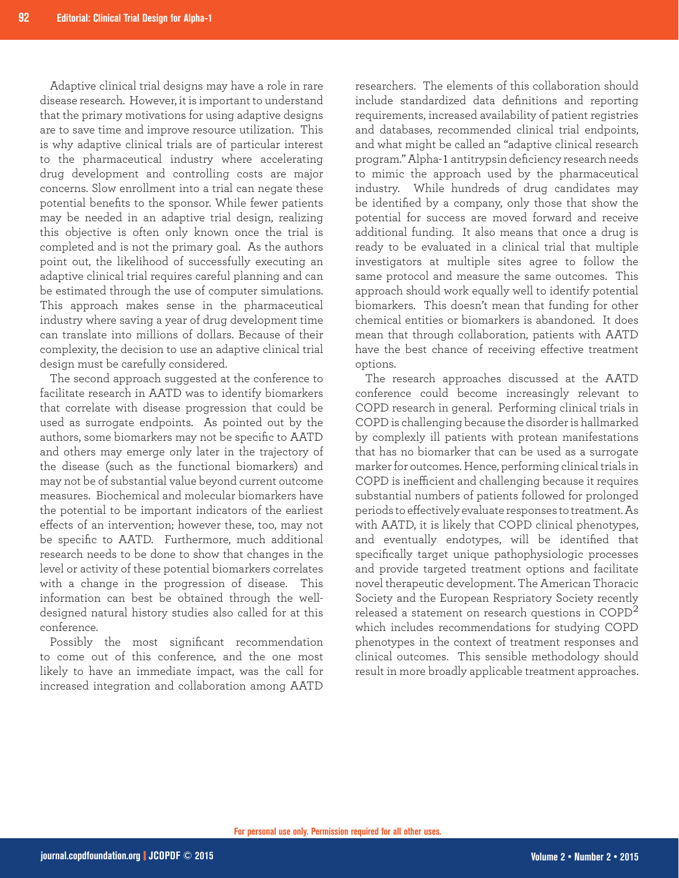Adaptive clinical trial designs may have a role in rare disease research. However, it is important to understand that the primary motivations for using adaptive designs are to save time and improve resource utilization. This is why adaptive clinical trials are of particular interest to the pharmaceutical industry where accelerating drug development and controlling costs are major concerns. Slow enrollment into a trial can negate these potential benefits to the sponsor. While fewer patients may be needed in an adaptive trial design, realizing this objective is often only known once the trial is completed and is not the primary goal. As the authors point out, the likelihood of successfully executing an adaptive clinical trial requires careful planning and can be estimated through the use of computer simulations. This approach makes sense in the pharmaceutical industry where saving a year of drug development time can translate into millions of dollars. Because of their complexity, the decision to use an adaptive clinical trial design must be carefully considered.

The second approach suggested at the conference to facilitate research in AATD was to identify biomarkers that correlate with disease progression that could be used as surrogate endpoints. As pointed out by the authors, some biomarkers may not be specific to AATD and others may emerge only later in the trajectory of the disease (such as the functional biomarkers) and may not be of substantial value beyond current outcome measures. Biochemical and molecular biomarkers have the potential to be important indicators of the earliest effects of an intervention; however these, too, may not be specific to AATD. Furthermore, much additional research needs to be done to show that changes in the level or activity of these potential biomarkers correlates with a change in the progression of disease. This information can best be obtained through the welldesigned natural history studies also called for at this conference.

Possibly the most significant recommendation to come out of this conference, and the one most likely to have an immediate impact, was the call for increased integration and collaboration among AATD

researchers. The elements of this collaboration should include standardized data definitions and reporting requirements, increased availability of patient registries and databases, recommended clinical trial endpoints, and what might be called an "adaptive clinical research program." Alpha-1 antitrypsin deficiency research needs to mimic the approach used by the pharmaceutical industry. While hundreds of drug candidates may be identified by a company, only those that show the potential for success are moved forward and receive additional funding. It also means that once a drug is ready to be evaluated in a clinical trial that multiple investigators at multiple sites agree to follow the same protocol and measure the same outcomes. This approach should work equally well to identify potential biomarkers. This doesn't mean that funding for other chemical entities or biomarkers is abandoned. It does mean that through collaboration, patients with AATD have the best chance of receiving effective treatment options.

The research approaches discussed at the AATD conference could become increasingly relevant to COPD research in general. Performing clinical trials in COPD is challenging because the disorder is hallmarked by complexly ill patients with protean manifestations that has no biomarker that can be used as a surrogate marker for outcomes. Hence, performing clinical trials in COPD is inefficient and challenging because it requires substantial numbers of patients followed for prolonged periods to effectively evaluate responses to treatment. As with AATD, it is likely that COPD clinical phenotypes, and eventually endotypes, will be identified that specifically target unique pathophysiologic processes and provide targeted treatment options and facilitate novel therapeutic development. The American Thoracic Society and the European Respriatory Society recently released a statement on research questions in  $\mathrm{COPD}^{2}$ which includes recommendations for studying COPD phenotypes in the context of treatment responses and clinical outcomes. This sensible methodology should result in more broadly applicable treatment approaches.